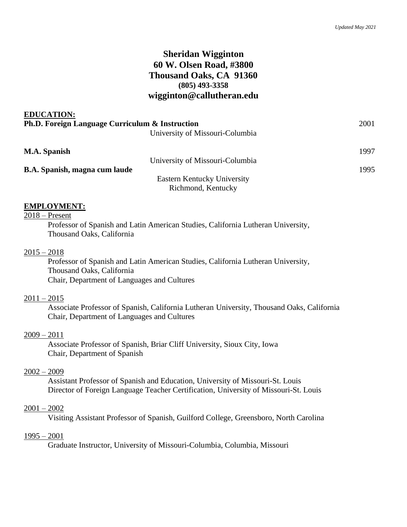# **Sheridan Wigginton 60 W. Olsen Road, #3800 Thousand Oaks, CA 91360 (805) 493-3358 wigginton@callutheran.edu**

| 2001 |
|------|
|      |
| 1997 |
|      |
| 1995 |
|      |
|      |
|      |

### **EMPLOYMENT:**

**EDUCATION:**

2018 – Present

Professor of Spanish and Latin American Studies, California Lutheran University, Thousand Oaks, California

### $2015 - 2018$

Professor of Spanish and Latin American Studies, California Lutheran University, Thousand Oaks, California Chair, Department of Languages and Cultures

#### $2011 - 2015$

Associate Professor of Spanish, California Lutheran University, Thousand Oaks, California Chair, Department of Languages and Cultures

### $2009 - 2011$

Associate Professor of Spanish, Briar Cliff University, Sioux City, Iowa Chair, Department of Spanish

#### 2002 – 2009

Assistant Professor of Spanish and Education, University of Missouri-St. Louis Director of Foreign Language Teacher Certification, University of Missouri-St. Louis

#### $2001 - 2002$

Visiting Assistant Professor of Spanish, Guilford College, Greensboro, North Carolina

#### 1995 – 2001

Graduate Instructor, University of Missouri-Columbia, Columbia, Missouri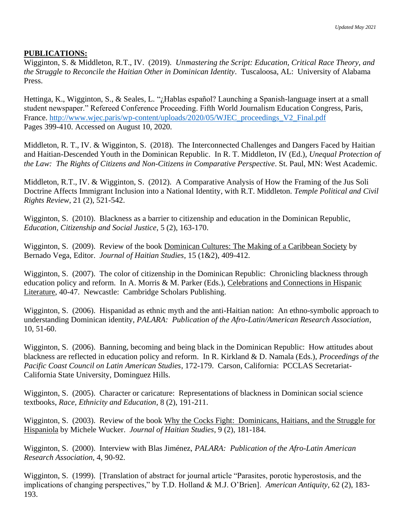### **PUBLICATIONS:**

Wigginton, S. & Middleton, R.T., IV. (2019). *Unmastering the Script: Education, Critical Race Theory, and the Struggle to Reconcile the Haitian Other in Dominican Identity*. Tuscaloosa, AL: University of Alabama Press.

Hettinga, K., Wigginton, S., & Seales, L. "¿Hablas español? Launching a Spanish-language insert at a small student newspaper." Refereed Conference Proceeding. Fifth World Journalism Education Congress, Paris, France. [http://www.wjec.paris/wp-content/uploads/2020/05/WJEC\\_proceedings\\_V2\\_Final.pdf](http://www.wjec.paris/wp-content/uploads/2020/05/WJEC_proceedings_V2_Final.pdf) Pages 399-410. Accessed on August 10, 2020.

Middleton, R. T., IV. & Wigginton, S. (2018). The Interconnected Challenges and Dangers Faced by Haitian and Haitian-Descended Youth in the Dominican Republic. In R. T. Middleton, IV (Ed.), *Unequal Protection of the Law: The Rights of Citizens and Non-Citizens in Comparative Perspective*. St. Paul, MN: West Academic.

Middleton, R.T., IV. & Wigginton, S. (2012). A Comparative Analysis of How the Framing of the Jus Soli Doctrine Affects Immigrant Inclusion into a National Identity, with R.T. Middleton. *Temple Political and Civil Rights Review*, 21 (2), 521-542.

Wigginton, S. (2010). Blackness as a barrier to citizenship and education in the Dominican Republic, *Education, Citizenship and Social Justice*, 5 (2), 163-170.

Wigginton, S. (2009). Review of the book Dominican Cultures: The Making of a Caribbean Society by Bernado Vega, Editor. *Journal of Haitian Studies*, 15 (1&2), 409-412.

Wigginton, S. (2007). The color of citizenship in the Dominican Republic: Chronicling blackness through education policy and reform. In A. Morris & M. Parker (Eds.), Celebrations and Connections in Hispanic Literature, 40-47. Newcastle: Cambridge Scholars Publishing.

Wigginton, S. (2006). Hispanidad as ethnic myth and the anti-Haitian nation: An ethno-symbolic approach to understanding Dominican identity, *PALARA: Publication of the Afro-Latin/American Research Association*, 10, 51-60.

Wigginton, S. (2006). Banning, becoming and being black in the Dominican Republic: How attitudes about blackness are reflected in education policy and reform. In R. Kirkland & D. Namala (Eds.), *Proceedings of the Pacific Coast Council on Latin American Studies*, 172-179. Carson, California: PCCLAS Secretariat-California State University, Dominguez Hills.

Wigginton, S. (2005). Character or caricature: Representations of blackness in Dominican social science textbooks, *Race, Ethnicity and Education*, 8 (2), 191-211.

Wigginton, S. (2003). Review of the book Why the Cocks Fight: Dominicans, Haitians, and the Struggle for Hispaniola by Michele Wucker. *Journal of Haitian Studies*, 9 (2), 181-184.

Wigginton, S. (2000). Interview with Blas Jiménez, *PALARA: Publication of the Afro-Latin American Research Association,* 4, 90-92.

Wigginton, S. (1999). [Translation of abstract for journal article "Parasites, porotic hyperostosis, and the implications of changing perspectives," by T.D. Holland & M.J. O'Brien]. *American Antiquity*, 62 (2), 183- 193.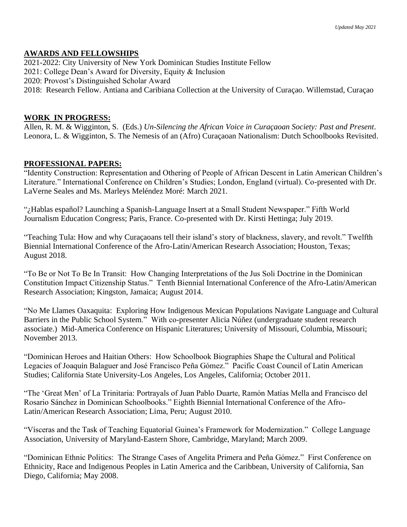# **AWARDS AND FELLOWSHIPS**

2021-2022: City University of New York Dominican Studies Institute Fellow 2021: College Dean's Award for Diversity, Equity & Inclusion 2020: Provost's Distinguished Scholar Award 2018: Research Fellow. Antiana and Caribiana Collection at the University of Curaçao. Willemstad, Curaçao

### **WORK IN PROGRESS:**

Allen, R. M. & Wigginton, S. (Eds.) *Un-Silencing the African Voice in Curaçaoan Society: Past and Present*. Leonora, L. & Wigginton, S. The Nemesis of an (Afro) Curaçaoan Nationalism: Dutch Schoolbooks Revisited.

### **PROFESSIONAL PAPERS:**

"Identity Construction: Representation and Othering of People of African Descent in Latin American Children's Literature." International Conference on Children's Studies; London, England (virtual). Co-presented with Dr. LaVerne Seales and Ms. Marleys Meléndez Moré: March 2021.

"¿Hablas español? Launching a Spanish-Language Insert at a Small Student Newspaper." Fifth World Journalism Education Congress; Paris, France. Co-presented with Dr. Kirsti Hettinga; July 2019.

"Teaching Tula: How and why Curaçaoans tell their island's story of blackness, slavery, and revolt." Twelfth Biennial International Conference of the Afro-Latin/American Research Association; Houston, Texas; August 2018.

"To Be or Not To Be In Transit: How Changing Interpretations of the Jus Soli Doctrine in the Dominican Constitution Impact Citizenship Status." Tenth Biennial International Conference of the Afro-Latin/American Research Association; Kingston, Jamaica; August 2014.

"No Me Llames Oaxaquita: Exploring How Indigenous Mexican Populations Navigate Language and Cultural Barriers in the Public School System." With co-presenter Alicia Núñez (undergraduate student research associate.) Mid-America Conference on Hispanic Literatures; University of Missouri, Columbia, Missouri; November 2013.

"Dominican Heroes and Haitian Others: How Schoolbook Biographies Shape the Cultural and Political Legacies of Joaquín Balaguer and José Francisco Peña Gómez." Pacific Coast Council of Latin American Studies; California State University-Los Angeles, Los Angeles, California; October 2011.

"The 'Great Men' of La Trinitaria: Portrayals of Juan Pablo Duarte, Ramón Matías Mella and Francisco del Rosario Sánchez in Dominican Schoolbooks." Eighth Biennial International Conference of the Afro-Latin/American Research Association; Lima, Peru; August 2010.

"Vísceras and the Task of Teaching Equatorial Guinea's Framework for Modernization." College Language Association, University of Maryland-Eastern Shore, Cambridge, Maryland; March 2009.

"Dominican Ethnic Politics: The Strange Cases of Angelita Primera and Peña Gómez." First Conference on Ethnicity, Race and Indigenous Peoples in Latin America and the Caribbean, University of California, San Diego, California; May 2008.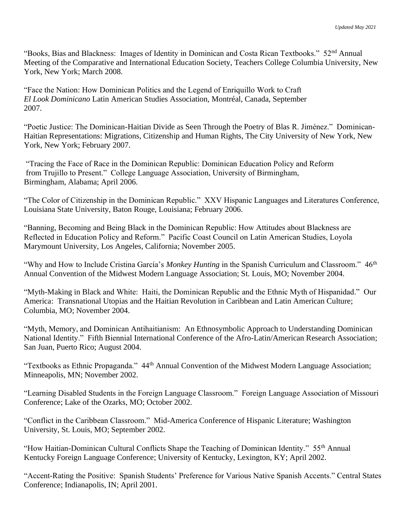"Books, Bias and Blackness: Images of Identity in Dominican and Costa Rican Textbooks." 52nd Annual Meeting of the Comparative and International Education Society, Teachers College Columbia University, New York, New York; March 2008.

"Face the Nation: How Dominican Politics and the Legend of Enriquillo Work to Craft *El Look Dominicano* Latin American Studies Association, Montréal, Canada, September 2007.

"Poetic Justice: The Dominican-Haitian Divide as Seen Through the Poetry of Blas R. Jiménez." Dominican-Haitian Representations: Migrations, Citizenship and Human Rights, The City University of New York, New York, New York; February 2007.

"Tracing the Face of Race in the Dominican Republic: Dominican Education Policy and Reform from Trujillo to Present." College Language Association, University of Birmingham, Birmingham, Alabama; April 2006.

"The Color of Citizenship in the Dominican Republic." XXV Hispanic Languages and Literatures Conference, Louisiana State University, Baton Rouge, Louisiana; February 2006.

"Banning, Becoming and Being Black in the Dominican Republic: How Attitudes about Blackness are Reflected in Education Policy and Reform." Pacific Coast Council on Latin American Studies, Loyola Marymount University, Los Angeles, California; November 2005.

"Why and How to Include Cristina García's *Monkey Hunting* in the Spanish Curriculum and Classroom." 46th Annual Convention of the Midwest Modern Language Association; St. Louis, MO; November 2004.

"Myth-Making in Black and White: Haiti, the Dominican Republic and the Ethnic Myth of Hispanidad." Our America: Transnational Utopias and the Haitian Revolution in Caribbean and Latin American Culture; Columbia, MO; November 2004.

"Myth, Memory, and Dominican Antihaitianism: An Ethnosymbolic Approach to Understanding Dominican National Identity." Fifth Biennial International Conference of the Afro-Latin/American Research Association; San Juan, Puerto Rico; August 2004.

"Textbooks as Ethnic Propaganda." 44th Annual Convention of the Midwest Modern Language Association; Minneapolis, MN; November 2002.

"Learning Disabled Students in the Foreign Language Classroom." Foreign Language Association of Missouri Conference; Lake of the Ozarks, MO; October 2002.

"Conflict in the Caribbean Classroom." Mid-America Conference of Hispanic Literature; Washington University, St. Louis, MO; September 2002.

"How Haitian-Dominican Cultural Conflicts Shape the Teaching of Dominican Identity." 55th Annual Kentucky Foreign Language Conference; University of Kentucky, Lexington, KY; April 2002.

"Accent-Rating the Positive: Spanish Students' Preference for Various Native Spanish Accents." Central States Conference; Indianapolis, IN; April 2001.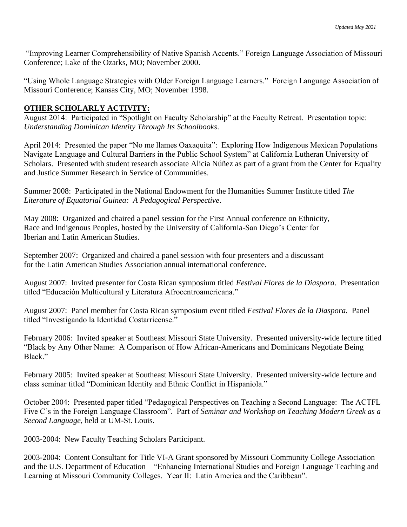"Improving Learner Comprehensibility of Native Spanish Accents." Foreign Language Association of Missouri Conference; Lake of the Ozarks, MO; November 2000.

"Using Whole Language Strategies with Older Foreign Language Learners." Foreign Language Association of Missouri Conference; Kansas City, MO; November 1998.

# **OTHER SCHOLARLY ACTIVITY:**

August 2014: Participated in "Spotlight on Faculty Scholarship" at the Faculty Retreat. Presentation topic: *Understanding Dominican Identity Through Its Schoolbooks.*

April 2014: Presented the paper "No me llames Oaxaquita": Exploring How Indigenous Mexican Populations Navigate Language and Cultural Barriers in the Public School System" at California Lutheran University of Scholars. Presented with student research associate Alicia Núñez as part of a grant from the Center for Equality and Justice Summer Research in Service of Communities.

Summer 2008: Participated in the National Endowment for the Humanities Summer Institute titled *The Literature of Equatorial Guinea: A Pedagogical Perspective*.

May 2008: Organized and chaired a panel session for the First Annual conference on Ethnicity, Race and Indigenous Peoples, hosted by the University of California-San Diego's Center for Iberian and Latin American Studies.

September 2007: Organized and chaired a panel session with four presenters and a discussant for the Latin American Studies Association annual international conference.

August 2007: Invited presenter for Costa Rican symposium titled *Festival Flores de la Diaspora*. Presentation titled "Educación Multicultural y Literatura Afrocentroamericana."

August 2007: Panel member for Costa Rican symposium event titled *Festival Flores de la Diaspora.* Panel titled "Investigando la Identidad Costarricense."

February 2006: Invited speaker at Southeast Missouri State University. Presented university-wide lecture titled "Black by Any Other Name: A Comparison of How African-Americans and Dominicans Negotiate Being Black."

February 2005: Invited speaker at Southeast Missouri State University. Presented university-wide lecture and class seminar titled "Dominican Identity and Ethnic Conflict in Hispaniola."

October 2004: Presented paper titled "Pedagogical Perspectives on Teaching a Second Language: The ACTFL Five C's in the Foreign Language Classroom". Part of *Seminar and Workshop on Teaching Modern Greek as a Second Language*, held at UM-St. Louis.

2003-2004: New Faculty Teaching Scholars Participant.

2003-2004: Content Consultant for Title VI-A Grant sponsored by Missouri Community College Association and the U.S. Department of Education—"Enhancing International Studies and Foreign Language Teaching and Learning at Missouri Community Colleges. Year II: Latin America and the Caribbean".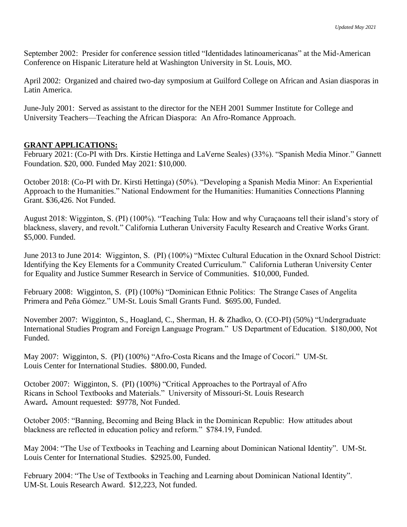September 2002: Presider for conference session titled "Identidades latinoamericanas" at the Mid-American Conference on Hispanic Literature held at Washington University in St. Louis, MO.

April 2002: Organized and chaired two-day symposium at Guilford College on African and Asian diasporas in Latin America.

June-July 2001: Served as assistant to the director for the NEH 2001 Summer Institute for College and University Teachers—Teaching the African Diaspora: An Afro-Romance Approach.

### **GRANT APPLICATIONS:**

February 2021: (Co-PI with Drs. Kirstie Hettinga and LaVerne Seales) (33%). "Spanish Media Minor." Gannett Foundation. \$20, 000. Funded May 2021: \$10,000.

October 2018: (Co-PI with Dr. Kirsti Hettinga) (50%). "Developing a Spanish Media Minor: An Experiential Approach to the Humanities." National Endowment for the Humanities: Humanities Connections Planning Grant. \$36,426. Not Funded.

August 2018: Wigginton, S. (PI) (100%). "Teaching Tula: How and why Curaçaoans tell their island's story of blackness, slavery, and revolt." California Lutheran University Faculty Research and Creative Works Grant. \$5,000. Funded.

June 2013 to June 2014: Wigginton, S. (PI) (100%) "Mixtec Cultural Education in the Oxnard School District: Identifying the Key Elements for a Community Created Curriculum." California Lutheran University Center for Equality and Justice Summer Research in Service of Communities. \$10,000, Funded.

February 2008: Wigginton, S. (PI) (100%) "Dominican Ethnic Politics: The Strange Cases of Angelita Primera and Peña Gómez." UM-St. Louis Small Grants Fund. \$695.00, Funded.

November 2007: Wigginton, S., Hoagland, C., Sherman, H. & Zhadko, O. (CO-PI) (50%) "Undergraduate International Studies Program and Foreign Language Program." US Department of Education. \$180,000, Not Funded.

May 2007: Wigginton, S. (PI) (100%) "Afro-Costa Ricans and the Image of Cocorí." UM-St. Louis Center for International Studies. \$800.00, Funded.

October 2007: Wigginton, S. (PI) (100%) "Critical Approaches to the Portrayal of Afro Ricans in School Textbooks and Materials." University of Missouri-St. Louis Research Award**.** Amount requested: \$9778, Not Funded.

October 2005: "Banning, Becoming and Being Black in the Dominican Republic: How attitudes about blackness are reflected in education policy and reform." \$784.19, Funded.

May 2004: "The Use of Textbooks in Teaching and Learning about Dominican National Identity". UM-St. Louis Center for International Studies. \$2925.00, Funded.

February 2004: "The Use of Textbooks in Teaching and Learning about Dominican National Identity". UM-St. Louis Research Award. \$12,223, Not funded.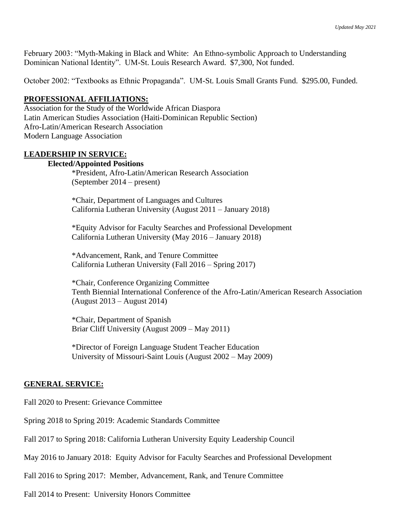February 2003: "Myth-Making in Black and White: An Ethno-symbolic Approach to Understanding Dominican National Identity". UM-St. Louis Research Award. \$7,300, Not funded.

October 2002: "Textbooks as Ethnic Propaganda". UM-St. Louis Small Grants Fund. \$295.00, Funded.

#### **PROFESSIONAL AFFILIATIONS:**

Association for the Study of the Worldwide African Diaspora Latin American Studies Association (Haiti-Dominican Republic Section) Afro-Latin/American Research Association Modern Language Association

#### **LEADERSHIP IN SERVICE:**

#### **Elected/Appointed Positions**

\*President, Afro-Latin/American Research Association (September 2014 – present)

\*Chair, Department of Languages and Cultures California Lutheran University (August 2011 – January 2018)

\*Equity Advisor for Faculty Searches and Professional Development California Lutheran University (May 2016 – January 2018)

\*Advancement, Rank, and Tenure Committee California Lutheran University (Fall 2016 – Spring 2017)

\*Chair, Conference Organizing Committee Tenth Biennial International Conference of the Afro-Latin/American Research Association (August 2013 – August 2014)

\*Chair, Department of Spanish Briar Cliff University (August 2009 – May 2011)

\*Director of Foreign Language Student Teacher Education University of Missouri-Saint Louis (August 2002 – May 2009)

#### **GENERAL SERVICE:**

Fall 2020 to Present: Grievance Committee

Spring 2018 to Spring 2019: Academic Standards Committee

Fall 2017 to Spring 2018: California Lutheran University Equity Leadership Council

May 2016 to January 2018: Equity Advisor for Faculty Searches and Professional Development

Fall 2016 to Spring 2017: Member, Advancement, Rank, and Tenure Committee

Fall 2014 to Present: University Honors Committee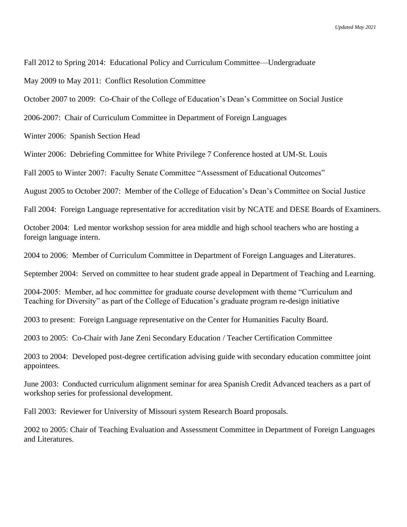Fall 2012 to Spring 2014: Educational Policy and Curriculum Committee—Undergraduate

May 2009 to May 2011: Conflict Resolution Committee

October 2007 to 2009: Co-Chair of the College of Education's Dean's Committee on Social Justice

2006-2007: Chair of Curriculum Committee in Department of Foreign Languages

Winter 2006: Spanish Section Head

Winter 2006: Debriefing Committee for White Privilege 7 Conference hosted at UM-St. Louis

Fall 2005 to Winter 2007: Faculty Senate Committee "Assessment of Educational Outcomes"

August 2005 to October 2007: Member of the College of Education's Dean's Committee on Social Justice

Fall 2004: Foreign Language representative for accreditation visit by NCATE and DESE Boards of Examiners.

October 2004: Led mentor workshop session for area middle and high school teachers who are hosting a foreign language intern.

2004 to 2006: Member of Curriculum Committee in Department of Foreign Languages and Literatures.

September 2004: Served on committee to hear student grade appeal in Department of Teaching and Learning.

2004-2005: Member, ad hoc committee for graduate course development with theme "Curriculum and Teaching for Diversity" as part of the College of Education's graduate program re-design initiative

2003 to present: Foreign Language representative on the Center for Humanities Faculty Board.

2003 to 2005: Co-Chair with Jane Zeni Secondary Education / Teacher Certification Committee

2003 to 2004: Developed post-degree certification advising guide with secondary education committee joint appointees.

June 2003: Conducted curriculum alignment seminar for area Spanish Credit Advanced teachers as a part of workshop series for professional development.

Fall 2003: Reviewer for University of Missouri system Research Board proposals.

2002 to 2005: Chair of Teaching Evaluation and Assessment Committee in Department of Foreign Languages and Literatures.